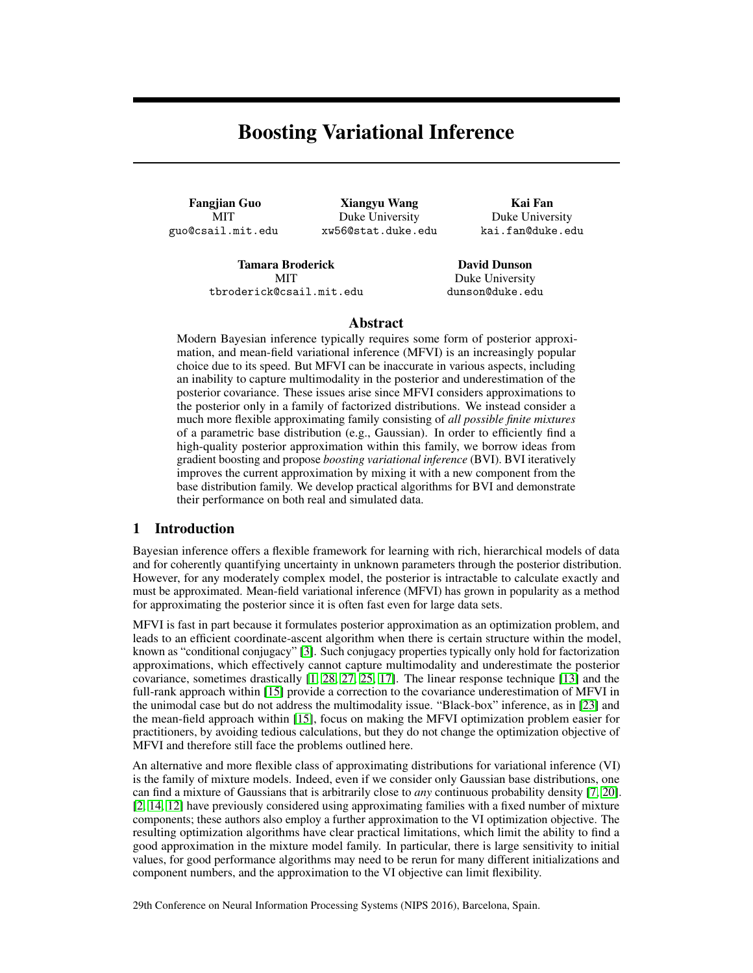# Boosting Variational Inference

Fangjian Guo MIT guo@csail.mit.edu

Xiangyu Wang Duke University xw56@stat.duke.edu

Kai Fan Duke University kai.fan@duke.edu

Tamara Broderick **MIT** tbroderick@csail.mit.edu

David Dunson Duke University dunson@duke.edu

#### Abstract

Modern Bayesian inference typically requires some form of posterior approximation, and mean-field variational inference (MFVI) is an increasingly popular choice due to its speed. But MFVI can be inaccurate in various aspects, including an inability to capture multimodality in the posterior and underestimation of the posterior covariance. These issues arise since MFVI considers approximations to the posterior only in a family of factorized distributions. We instead consider a much more flexible approximating family consisting of *all possible finite mixtures* of a parametric base distribution (e.g., Gaussian). In order to efficiently find a high-quality posterior approximation within this family, we borrow ideas from gradient boosting and propose *boosting variational inference* (BVI). BVI iteratively improves the current approximation by mixing it with a new component from the base distribution family. We develop practical algorithms for BVI and demonstrate their performance on both real and simulated data.

# 1 Introduction

Bayesian inference offers a flexible framework for learning with rich, hierarchical models of data and for coherently quantifying uncertainty in unknown parameters through the posterior distribution. However, for any moderately complex model, the posterior is intractable to calculate exactly and must be approximated. Mean-field variational inference (MFVI) has grown in popularity as a method for approximating the posterior since it is often fast even for large data sets.

MFVI is fast in part because it formulates posterior approximation as an optimization problem, and leads to an efficient coordinate-ascent algorithm when there is certain structure within the model, known as "conditional conjugacy" [\[3\]](#page-4-0). Such conjugacy properties typically only hold for factorization approximations, which effectively cannot capture multimodality and underestimate the posterior covariance, sometimes drastically [\[1,](#page-4-1) [28,](#page-5-0) [27,](#page-5-1) [25,](#page-5-2) [17\]](#page-4-2). The linear response technique [\[13\]](#page-4-3) and the full-rank approach within [\[15\]](#page-4-4) provide a correction to the covariance underestimation of MFVI in the unimodal case but do not address the multimodality issue. "Black-box" inference, as in [\[23\]](#page-4-5) and the mean-field approach within [\[15\]](#page-4-4), focus on making the MFVI optimization problem easier for practitioners, by avoiding tedious calculations, but they do not change the optimization objective of MFVI and therefore still face the problems outlined here.

An alternative and more flexible class of approximating distributions for variational inference (VI) is the family of mixture models. Indeed, even if we consider only Gaussian base distributions, one can find a mixture of Gaussians that is arbitrarily close to *any* continuous probability density [\[7,](#page-4-6) [20\]](#page-4-7). [\[2,](#page-4-8) [14,](#page-4-9) [12\]](#page-4-10) have previously considered using approximating families with a fixed number of mixture components; these authors also employ a further approximation to the VI optimization objective. The resulting optimization algorithms have clear practical limitations, which limit the ability to find a good approximation in the mixture model family. In particular, there is large sensitivity to initial values, for good performance algorithms may need to be rerun for many different initializations and component numbers, and the approximation to the VI objective can limit flexibility.

29th Conference on Neural Information Processing Systems (NIPS 2016), Barcelona, Spain.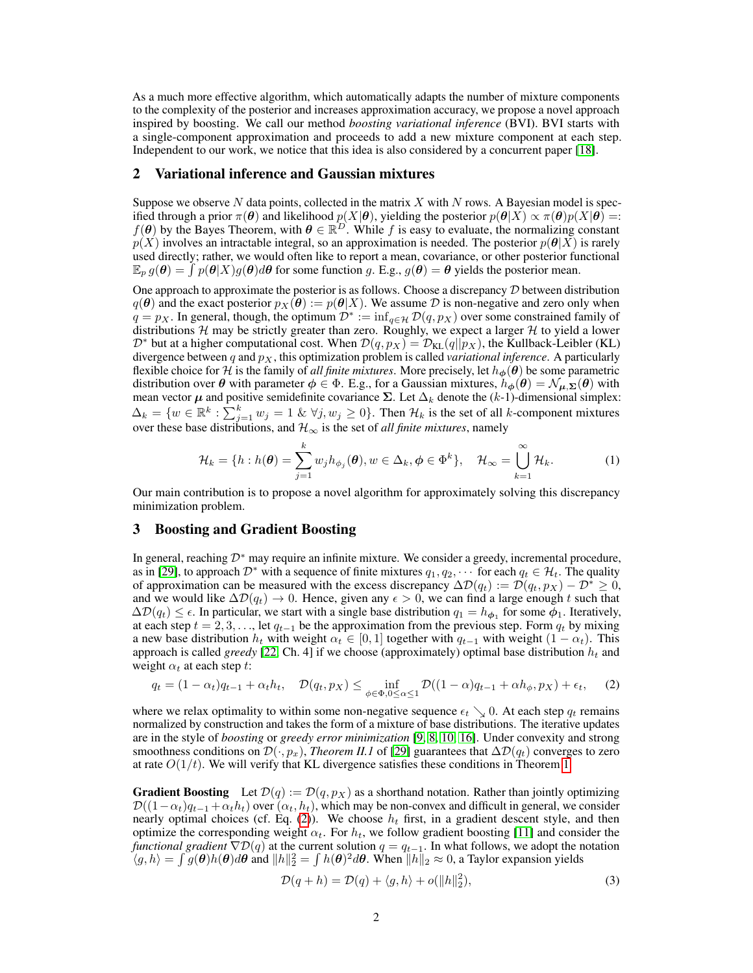As a much more effective algorithm, which automatically adapts the number of mixture components to the complexity of the posterior and increases approximation accuracy, we propose a novel approach inspired by boosting. We call our method *boosting variational inference* (BVI). BVI starts with a single-component approximation and proceeds to add a new mixture component at each step. Independent to our work, we notice that this idea is also considered by a concurrent paper [\[18\]](#page-4-11).

#### 2 Variational inference and Gaussian mixtures

Suppose we observe N data points, collected in the matrix  $X$  with N rows. A Bayesian model is specified through a prior  $\pi(\theta)$  and likelihood  $p(X|\theta)$ , yielding the posterior  $p(\theta|X) \propto \pi(\theta)p(X|\theta) =$ :  $f(\theta)$  by the Bayes Theorem, with  $\theta \in \mathbb{R}^D$ . While f is easy to evaluate, the normalizing constant  $p(X)$  involves an intractable integral, so an approximation is needed. The posterior  $p(\theta|X)$  is rarely used directly; rather, we would often like to report a mean, covariance, or other posterior functional  $\mathbb{E}_p g(\theta) = \int p(\theta|X)g(\theta)d\theta$  for some function g. E.g.,  $g(\theta) = \theta$  yields the posterior mean.

One approach to approximate the posterior is as follows. Choose a discrepancy  $D$  between distribution  $q(\theta)$  and the exact posterior  $p_X(\hat{\theta}) := p(\theta|X)$ . We assume  $D$  is non-negative and zero only when  $q = p_X$ . In general, though, the optimum  $\mathcal{D}^* := \inf_{q \in \mathcal{H}} \mathcal{D}(q, p_X)$  over some constrained family of distributions  $H$  may be strictly greater than zero. Roughly, we expect a larger  $H$  to yield a lower  $\mathcal{D}^*$  but at a higher computational cost. When  $\mathcal{D}(q, p_X) = \mathcal{D}_{KL}(q||p_X)$ , the Kullback-Leibler (KL) divergence between  $q$  and  $p<sub>X</sub>$ , this optimization problem is called *variational inference*. A particularly flexible choice for H is the family of *all finite mixtures*. More precisely, let  $h_{\phi}(\theta)$  be some parametric distribution over  $\theta$  with parameter  $\phi \in \Phi$ . E.g., for a Gaussian mixtures,  $h_{\phi}(\theta) = \mathcal{N}_{\mu,\Sigma}(\theta)$  with mean vector  $\mu$  and positive semidefinite covariance  $\Sigma$ . Let  $\Delta_k$  denote the (k-1)-dimensional simplex:  $\Delta_k = \{w \in \mathbb{R}^k : \sum_{j=1}^k w_j = 1 \& \forall j, w_j \ge 0\}.$  Then  $\mathcal{H}_k$  is the set of all k-component mixtures over these base distributions, and  $\mathcal{H}_{\infty}$  is the set of *all finite mixtures*, namely

$$
\mathcal{H}_k = \{ h : h(\boldsymbol{\theta}) = \sum_{j=1}^k w_j h_{\phi_j}(\boldsymbol{\theta}), w \in \Delta_k, \phi \in \Phi^k \}, \quad \mathcal{H}_\infty = \bigcup_{k=1}^\infty \mathcal{H}_k.
$$
 (1)

Our main contribution is to propose a novel algorithm for approximately solving this discrepancy minimization problem.

# 3 Boosting and Gradient Boosting

In general, reaching D<sup>∗</sup> may require an infinite mixture. We consider a greedy, incremental procedure, as in [\[29\]](#page-5-3), to approach  $\mathcal{D}^*$  with a sequence of finite mixtures  $q_1, q_2, \cdots$  for each  $q_t \in \mathcal{H}_t$ . The quality of approximation can be measured with the excess discrepancy  $\Delta \mathcal{D}(q_t) := \mathcal{D}(q_t, p_X) - \mathcal{D}^* \geq 0$ , and we would like  $\Delta \mathcal{D}(q_t) \to 0$ . Hence, given any  $\epsilon > 0$ , we can find a large enough t such that  $\Delta \mathcal{D}(q_t) \leq \epsilon$ . In particular, we start with a single base distribution  $q_1 = h_{\phi_1}$  for some  $\phi_1$ . Iteratively, at each step  $t = 2, 3, \ldots$ , let  $q_{t-1}$  be the approximation from the previous step. Form  $q_t$  by mixing a new base distribution  $h_t$  with weight  $\alpha_t \in [0, 1]$  together with  $q_{t-1}$  with weight  $(1 - \alpha_t)$ . This approach is called *greedy* [\[22,](#page-4-12) Ch. 4] if we choose (approximately) optimal base distribution  $h_t$  and weight  $\alpha_t$  at each step t:

<span id="page-1-0"></span>
$$
q_t = (1 - \alpha_t)q_{t-1} + \alpha_t h_t, \quad \mathcal{D}(q_t, p_X) \le \inf_{\phi \in \Phi, 0 \le \alpha \le 1} \mathcal{D}((1 - \alpha)q_{t-1} + \alpha h_\phi, p_X) + \epsilon_t, \quad (2)
$$

where we relax optimality to within some non-negative sequence  $\epsilon_t \searrow 0$ . At each step  $q_t$  remains normalized by construction and takes the form of a mixture of base distributions. The iterative updates are in the style of *boosting* or *greedy error minimization* [\[9,](#page-4-13) [8,](#page-4-14) [10,](#page-4-15) [16\]](#page-4-16). Under convexity and strong smoothness conditions on  $\mathcal{D}(\cdot, p_x)$ , *Theorem II.1* of [\[29\]](#page-5-3) guarantees that  $\Delta \mathcal{D}(q_t)$  converges to zero at rate  $O(1/t)$ . We will verify that KL divergence satisfies these conditions in Theorem [1.](#page-2-0)

**Gradient Boosting** Let  $\mathcal{D}(q) := \mathcal{D}(q, p_X)$  as a shorthand notation. Rather than jointly optimizing  $\mathcal{D}((1-\alpha_t)q_{t-1} + \alpha_th_t)$  over  $(\alpha_t, h_t)$ , which may be non-convex and difficult in general, we consider nearly optimal choices (cf. Eq. [\(2\)](#page-1-0)). We choose  $h_t$  first, in a gradient descent style, and then optimize the corresponding weight  $\alpha_t$ . For  $h_t$ , we follow gradient boosting [\[11\]](#page-4-17) and consider the *functional gradient*  $\nabla \mathcal{D}(q)$  at the current solution  $q = q_{t-1}$ . In what follows, we adopt the notation  $\langle g, h \rangle = \int g(\theta)h(\theta)d\theta$  and  $||h||_2^2 = \int h(\theta)^2 d\theta$ . When  $||h||_2 \approx 0$ , a Taylor expansion yields

<span id="page-1-1"></span>
$$
\mathcal{D}(q+h) = \mathcal{D}(q) + \langle g, h \rangle + o(||h||_2^2),\tag{3}
$$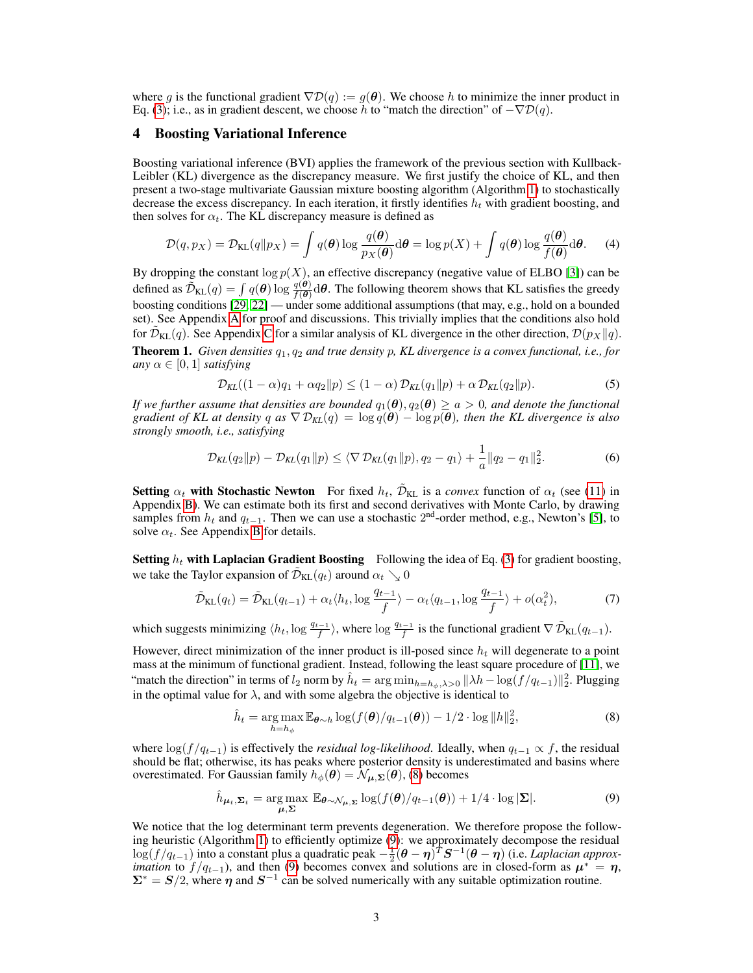where q is the functional gradient  $\nabla \mathcal{D}(q) := q(\boldsymbol{\theta})$ . We choose h to minimize the inner product in Eq. [\(3\)](#page-1-1); i.e., as in gradient descent, we choose h to "match the direction" of  $-\nabla \mathcal{D}(q)$ .

#### 4 Boosting Variational Inference

Boosting variational inference (BVI) applies the framework of the previous section with Kullback-Leibler (KL) divergence as the discrepancy measure. We first justify the choice of KL, and then present a two-stage multivariate Gaussian mixture boosting algorithm (Algorithm [1\)](#page-3-0) to stochastically decrease the excess discrepancy. In each iteration, it firstly identifies  $h_t$  with gradient boosting, and then solves for  $\alpha_t$ . The KL discrepancy measure is defined as

$$
\mathcal{D}(q, p_X) = \mathcal{D}_{\text{KL}}(q \| p_X) = \int q(\boldsymbol{\theta}) \log \frac{q(\boldsymbol{\theta})}{p_X(\boldsymbol{\theta})} d\boldsymbol{\theta} = \log p(X) + \int q(\boldsymbol{\theta}) \log \frac{q(\boldsymbol{\theta})}{f(\boldsymbol{\theta})} d\boldsymbol{\theta}.
$$
 (4)

By dropping the constant  $\log p(X)$ , an effective discrepancy (negative value of ELBO [\[3\]](#page-4-0)) can be defined as  $\tilde{\mathcal{D}}_{\text{KL}}(q) = \int q(\boldsymbol{\theta}) \log \frac{q(\boldsymbol{\theta})}{f(\boldsymbol{\theta})} d\boldsymbol{\theta}$ . The following theorem shows that KL satisfies the greedy boosting conditions [\[29,](#page-5-3) [22\]](#page-4-12) — under some additional assumptions (that may, e.g., hold on a bounded set). See Appendix [A](#page-6-0) for proof and discussions. This trivially implies that the conditions also hold for  $\tilde{\mathcal{D}}_{\text{KL}}(q)$ . See Appendix [C](#page-7-0) for a similar analysis of KL divergence in the other direction,  $\mathcal{D}(p_X || q)$ .

<span id="page-2-0"></span>Theorem 1. *Given densities*  $q_1, q_2$  *and true density* p, KL divergence is a convex functional, i.e., for *any*  $\alpha \in [0, 1]$  *satisfying* 

$$
\mathcal{D}_{KL}((1-\alpha)q_1 + \alpha q_2 \| p) \le (1-\alpha) \mathcal{D}_{KL}(q_1 \| p) + \alpha \mathcal{D}_{KL}(q_2 \| p). \tag{5}
$$

*If we further assume that densities are bounded*  $q_1(\theta), q_2(\theta) \ge a > 0$ , and denote the functional *gradient of KL at density* q as  $\nabla \mathcal{D}_{KL}(q) = \log q(\theta) - \log p(\theta)$ , then the KL divergence is also *strongly smooth, i.e., satisfying*

$$
\mathcal{D}_{KL}(q_2 \| p) - \mathcal{D}_{KL}(q_1 \| p) \leq \langle \nabla \mathcal{D}_{KL}(q_1 \| p), q_2 - q_1 \rangle + \frac{1}{a} \| q_2 - q_1 \|_2^2. \tag{6}
$$

Setting  $\alpha_t$  with Stochastic Newton For fixed  $h_t$ ,  $\tilde{\mathcal{D}}_{KL}$  is a *convex* function of  $\alpha_t$  (see [\(11\)](#page-6-1) in Appendix [B\)](#page-6-2). We can estimate both its first and second derivatives with Monte Carlo, by drawing samples from  $h_t$  and  $q_{t-1}$ . Then we can use a stochastic 2<sup>nd</sup>-order method, e.g., Newton's [\[5\]](#page-4-18), to solve  $\alpha_t$ . See Appendix [B](#page-6-2) for details.

**Setting**  $h_t$  with Laplacian Gradient Boosting Following the idea of Eq. [\(3\)](#page-1-1) for gradient boosting, we take the Taylor expansion of  $\tilde{\mathcal{D}}_{\text{KL}}(q_t)$  around  $\alpha_t \searrow 0$ 

$$
\tilde{\mathcal{D}}_{\text{KL}}(q_t) = \tilde{\mathcal{D}}_{\text{KL}}(q_{t-1}) + \alpha_t \langle h_t, \log \frac{q_{t-1}}{f} \rangle - \alpha_t \langle q_{t-1}, \log \frac{q_{t-1}}{f} \rangle + o(\alpha_t^2),\tag{7}
$$

which suggests minimizing  $\langle h_t, \log \frac{q_{t-1}}{f} \rangle$ , where  $\log \frac{q_{t-1}}{f}$  is the functional gradient  $\nabla \tilde{\mathcal{D}}_{\text{KL}}(q_{t-1})$ .

However, direct minimization of the inner product is ill-posed since  $h_t$  will degenerate to a point mass at the minimum of functional gradient. Instead, following the least square procedure of [\[11\]](#page-4-17), we "match the direction" in terms of  $l_2$  norm by  $\hat{h}_t = \arg \min_{h=h_{\phi},\lambda>0} ||\lambda h - \log(f/q_{t-1})||_2^2$ . Plugging in the optimal value for  $\lambda$ , and with some algebra the objective is identical to

<span id="page-2-2"></span><span id="page-2-1"></span>
$$
\hat{h}_t = \underset{h=h_{\phi}}{\arg \max} \mathbb{E}_{\boldsymbol{\theta} \sim h} \log(f(\boldsymbol{\theta})/q_{t-1}(\boldsymbol{\theta})) - 1/2 \cdot \log ||h||_2^2,
$$
\n(8)

where  $\log(f/q_{t-1})$  is effectively the *residual log-likelihood*. Ideally, when  $q_{t-1} \propto f$ , the residual should be flat; otherwise, its has peaks where posterior density is underestimated and basins where overestimated. For Gaussian family  $h_{\phi}(\theta) = \mathcal{N}_{\mu, \Sigma}(\theta)$ , [\(8\)](#page-2-1) becomes

$$
\hat{h}_{\mu_t, \Sigma_t} = \underset{\mu, \Sigma}{\arg \max} \mathbb{E}_{\boldsymbol{\theta} \sim \mathcal{N}_{\mu, \Sigma}} \log(f(\boldsymbol{\theta})/q_{t-1}(\boldsymbol{\theta})) + 1/4 \cdot \log |\Sigma|.
$$
 (9)

We notice that the log determinant term prevents degeneration. We therefore propose the following heuristic (Algorithm [1\)](#page-3-0) to efficiently optimize [\(9\)](#page-2-2): we approximately decompose the residual log(*f* /*q*<sub>t−1</sub>) into a constant plus a quadratic peak  $-\frac{1}{2}(\theta - \eta)^T S^{-1}(\theta - \eta)$  (i.e. *Laplacian approximation* to  $f/q_{t-1}$ ), and then [\(9\)](#page-2-2) becomes convex and solutions are in closed-form as  $\mu^* = \eta$ ,  $\Sigma^* = S/2$ , where  $\eta$  and  $S^{-1}$  can be solved numerically with any suitable optimization routine.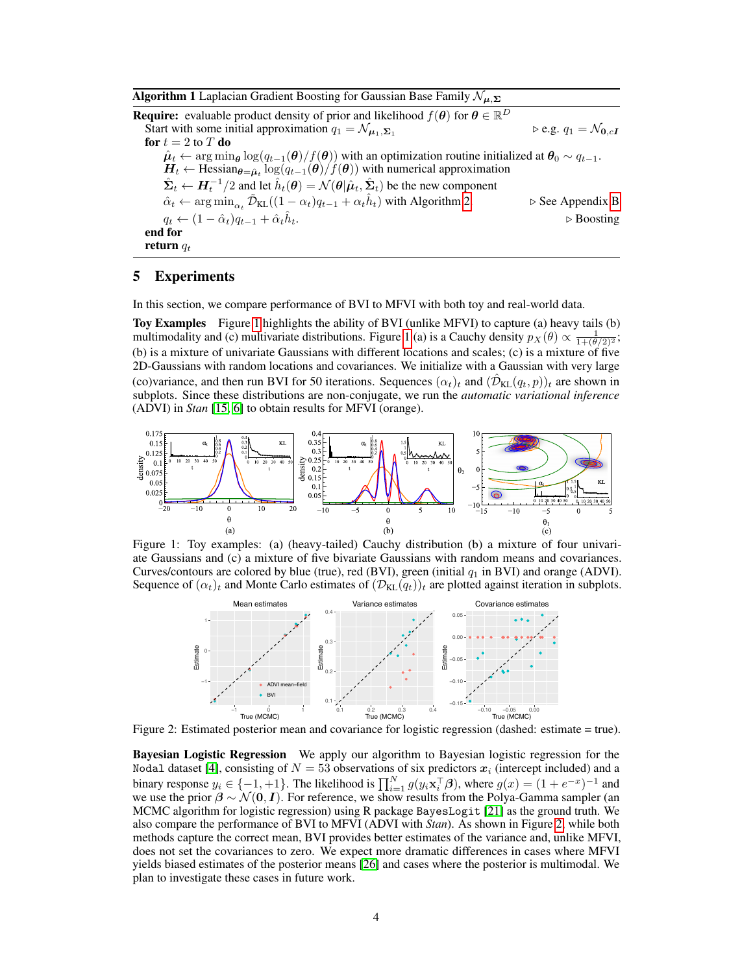<span id="page-3-0"></span>**Algorithm 1** Laplacian Gradient Boosting for Gaussian Base Family  $\mathcal{N}_{\mu,\Sigma}$ **Require:** evaluable product density of prior and likelihood  $f(\theta)$  for  $\theta \in \mathbb{R}^D$ Start with some initial approximation  $q_1 = \mathcal{N}_{\mu_1, \Sigma_1}$   $\triangleright$  e.g.  $q_1 = \mathcal{N}_{0, cI}$ for  $t = 2$  to  $T$  do  $\hat{\mu}_t \leftarrow \arg\min_{\theta} \log(q_{t-1}(\theta)/f(\theta))$  with an optimization routine initialized at  $\theta_0 \sim q_{t-1}$ .  $\bm{H}_t \leftarrow \text{Hessian}_{\bm{\theta} = \hat{\bm{\mu}}_t} \log(q_{t-1}(\bm{\theta})/f(\bm{\theta}))$  with numerical approximation  $\hat{\mathbf{\Sigma}}_t \leftarrow \bm{H}_t^{-1}/2$  and let  $\hat{h}_t(\bm{\theta}) = \mathcal{N}(\bm{\theta} | \hat{\bm{\mu}}_t, \hat{\bm{\Sigma}}_t)$  be the new component  $\hat{\alpha}_t \leftarrow \arg \min_{\alpha_t} \tilde{\mathcal{D}}_{KL}((1 - \alpha_t)q_{t-1} + \alpha_t \hat{h}_t)$  with Algorithm [2.](#page-7-1)  $\triangleright$  See Appendix [B](#page-6-2)  $q_t \leftarrow (1 - \hat{\alpha}_t) q_{t-1} + \hat{\alpha}_t \hat{h}_t.$  $\triangleright$  Boosting end for return  $q_t$ 

# 5 Experiments

In this section, we compare performance of BVI to MFVI with both toy and real-world data.

Toy Examples Figure [1](#page-3-1) highlights the ability of BVI (unlike MFVI) to capture (a) heavy tails (b) multimodality and (c) multivariate distributions. Figure [1](#page-3-1) (a) is a Cauchy density  $p_X(\theta) \propto \frac{1}{1+(\theta/2)^2}$ ; (b) is a mixture of univariate Gaussians with different locations and scales; (c) is a mixture of five 2D-Gaussians with random locations and covariances. We initialize with a Gaussian with very large (co)variance, and then run BVI for 50 iterations. Sequences  $(\alpha_t)_t$  and  $(\hat{\mathcal{D}}_{KL}(q_t, p))_t$  are shown in subplots. Since these distributions are non-conjugate, we run the *automatic variational inference* (ADVI) in *Stan* [\[15,](#page-4-4) [6\]](#page-4-19) to obtain results for MFVI (orange).



<span id="page-3-1"></span>Figure 1: Toy examples: (a) (heavy-tailed) Cauchy distribution (b) a mixture of four univariate Gaussians and (c) a mixture of five bivariate Gaussians with random means and covariances. Curves/contours are colored by blue (true), red (BVI), green (initial  $q_1$  in BVI) and orange (ADVI). Sequence of  $(\alpha_t)_t$  and Monte Carlo estimates of  $(\mathcal{D}_{KL}(q_t))_t$  are plotted against iteration in subplots.



<span id="page-3-2"></span>Figure 2: Estimated posterior mean and covariance for logistic regression (dashed: estimate = true).

Bayesian Logistic Regression We apply our algorithm to Bayesian logistic regression for the Nodal dataset [\[4\]](#page-4-20), consisting of  $N = 53$  observations of six predictors  $x_i$  (intercept included) and a binary response  $y_i \in \{-1, +1\}$ . The likelihood is  $\prod_{i=1}^N g(y_i \mathbf{x}_i^{\top} \boldsymbol{\beta})$ , where  $g(x) = (1 + e^{-x})^{-1}$  and we use the prior  $\beta \sim \mathcal{N}(0, I)$ . For reference, we show results from the Polya-Gamma sampler (an MCMC algorithm for logistic regression) using R package BayesLogit [\[21\]](#page-4-21) as the ground truth. We also compare the performance of BVI to MFVI (ADVI with *Stan*). As shown in Figure [2,](#page-3-2) while both methods capture the correct mean, BVI provides better estimates of the variance and, unlike MFVI, does not set the covariances to zero. We expect more dramatic differences in cases where MFVI yields biased estimates of the posterior means [\[26\]](#page-5-4) and cases where the posterior is multimodal. We plan to investigate these cases in future work.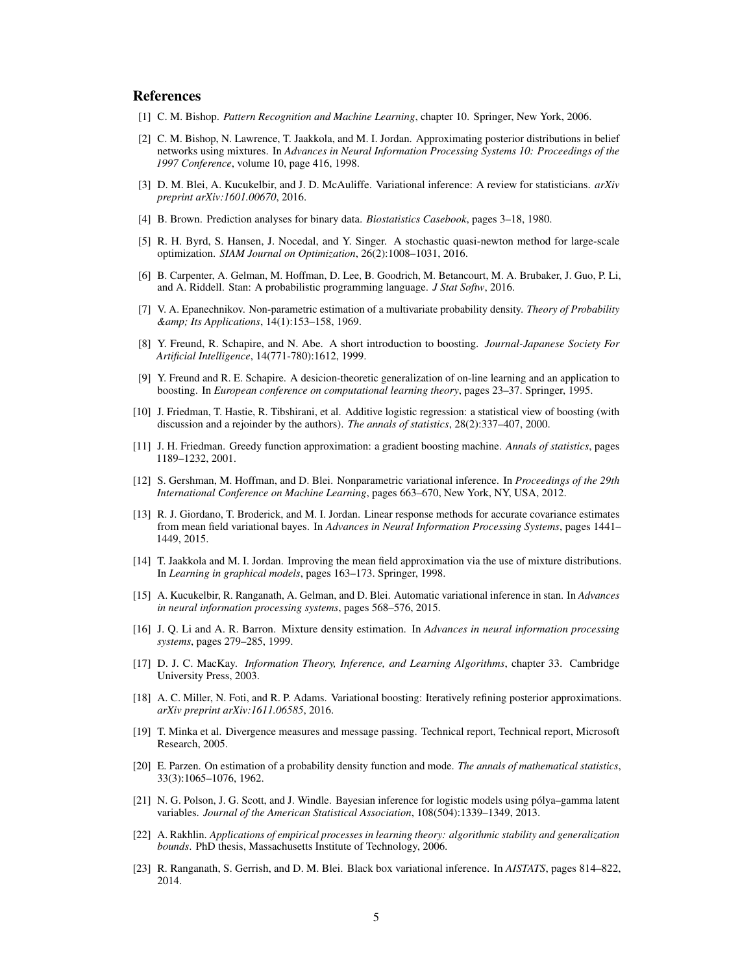#### References

- <span id="page-4-1"></span>[1] C. M. Bishop. *Pattern Recognition and Machine Learning*, chapter 10. Springer, New York, 2006.
- <span id="page-4-8"></span>[2] C. M. Bishop, N. Lawrence, T. Jaakkola, and M. I. Jordan. Approximating posterior distributions in belief networks using mixtures. In *Advances in Neural Information Processing Systems 10: Proceedings of the 1997 Conference*, volume 10, page 416, 1998.
- <span id="page-4-0"></span>[3] D. M. Blei, A. Kucukelbir, and J. D. McAuliffe. Variational inference: A review for statisticians. *arXiv preprint arXiv:1601.00670*, 2016.
- <span id="page-4-20"></span>[4] B. Brown. Prediction analyses for binary data. *Biostatistics Casebook*, pages 3–18, 1980.
- <span id="page-4-18"></span>[5] R. H. Byrd, S. Hansen, J. Nocedal, and Y. Singer. A stochastic quasi-newton method for large-scale optimization. *SIAM Journal on Optimization*, 26(2):1008–1031, 2016.
- <span id="page-4-19"></span>[6] B. Carpenter, A. Gelman, M. Hoffman, D. Lee, B. Goodrich, M. Betancourt, M. A. Brubaker, J. Guo, P. Li, and A. Riddell. Stan: A probabilistic programming language. *J Stat Softw*, 2016.
- <span id="page-4-6"></span>[7] V. A. Epanechnikov. Non-parametric estimation of a multivariate probability density. *Theory of Probability & Its Applications*, 14(1):153–158, 1969.
- <span id="page-4-14"></span>[8] Y. Freund, R. Schapire, and N. Abe. A short introduction to boosting. *Journal-Japanese Society For Artificial Intelligence*, 14(771-780):1612, 1999.
- <span id="page-4-13"></span>[9] Y. Freund and R. E. Schapire. A desicion-theoretic generalization of on-line learning and an application to boosting. In *European conference on computational learning theory*, pages 23–37. Springer, 1995.
- <span id="page-4-15"></span>[10] J. Friedman, T. Hastie, R. Tibshirani, et al. Additive logistic regression: a statistical view of boosting (with discussion and a rejoinder by the authors). *The annals of statistics*, 28(2):337–407, 2000.
- <span id="page-4-17"></span>[11] J. H. Friedman. Greedy function approximation: a gradient boosting machine. *Annals of statistics*, pages 1189–1232, 2001.
- <span id="page-4-10"></span>[12] S. Gershman, M. Hoffman, and D. Blei. Nonparametric variational inference. In *Proceedings of the 29th International Conference on Machine Learning*, pages 663–670, New York, NY, USA, 2012.
- <span id="page-4-3"></span>[13] R. J. Giordano, T. Broderick, and M. I. Jordan. Linear response methods for accurate covariance estimates from mean field variational bayes. In *Advances in Neural Information Processing Systems*, pages 1441– 1449, 2015.
- <span id="page-4-9"></span>[14] T. Jaakkola and M. I. Jordan. Improving the mean field approximation via the use of mixture distributions. In *Learning in graphical models*, pages 163–173. Springer, 1998.
- <span id="page-4-4"></span>[15] A. Kucukelbir, R. Ranganath, A. Gelman, and D. Blei. Automatic variational inference in stan. In *Advances in neural information processing systems*, pages 568–576, 2015.
- <span id="page-4-16"></span>[16] J. Q. Li and A. R. Barron. Mixture density estimation. In *Advances in neural information processing systems*, pages 279–285, 1999.
- <span id="page-4-2"></span>[17] D. J. C. MacKay. *Information Theory, Inference, and Learning Algorithms*, chapter 33. Cambridge University Press, 2003.
- <span id="page-4-11"></span>[18] A. C. Miller, N. Foti, and R. P. Adams. Variational boosting: Iteratively refining posterior approximations. *arXiv preprint arXiv:1611.06585*, 2016.
- <span id="page-4-22"></span>[19] T. Minka et al. Divergence measures and message passing. Technical report, Technical report, Microsoft Research, 2005.
- <span id="page-4-7"></span>[20] E. Parzen. On estimation of a probability density function and mode. *The annals of mathematical statistics*, 33(3):1065–1076, 1962.
- <span id="page-4-21"></span>[21] N. G. Polson, J. G. Scott, and J. Windle. Bayesian inference for logistic models using pólya–gamma latent variables. *Journal of the American Statistical Association*, 108(504):1339–1349, 2013.
- <span id="page-4-12"></span>[22] A. Rakhlin. *Applications of empirical processes in learning theory: algorithmic stability and generalization bounds*. PhD thesis, Massachusetts Institute of Technology, 2006.
- <span id="page-4-5"></span>[23] R. Ranganath, S. Gerrish, and D. M. Blei. Black box variational inference. In *AISTATS*, pages 814–822, 2014.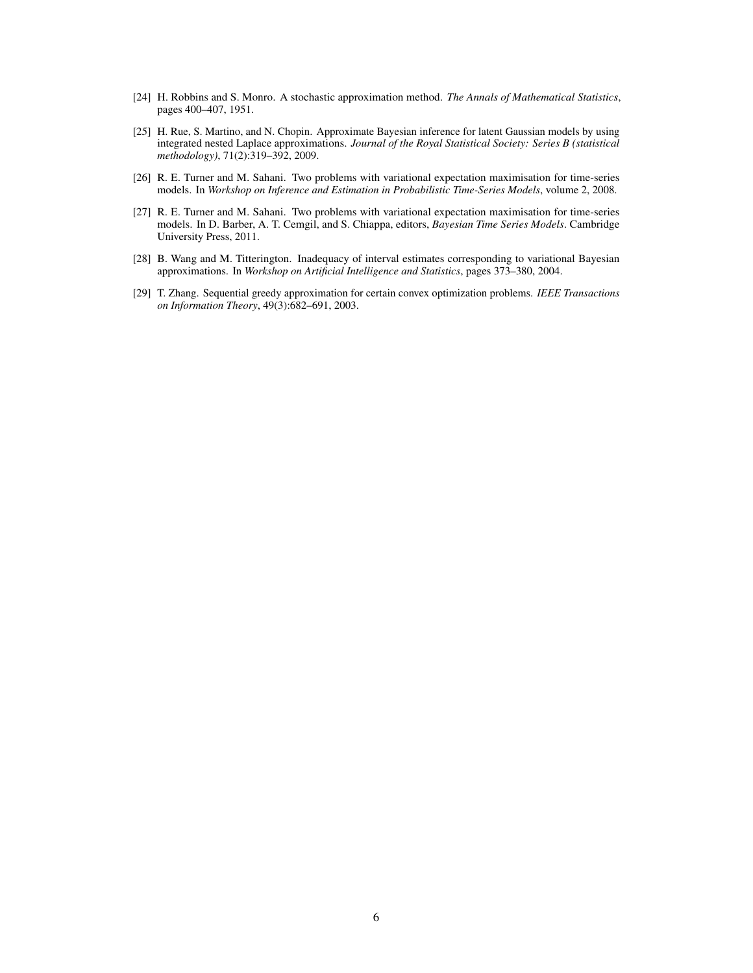- <span id="page-5-5"></span>[24] H. Robbins and S. Monro. A stochastic approximation method. *The Annals of Mathematical Statistics*, pages 400–407, 1951.
- <span id="page-5-2"></span>[25] H. Rue, S. Martino, and N. Chopin. Approximate Bayesian inference for latent Gaussian models by using integrated nested Laplace approximations. *Journal of the Royal Statistical Society: Series B (statistical methodology)*, 71(2):319–392, 2009.
- <span id="page-5-4"></span>[26] R. E. Turner and M. Sahani. Two problems with variational expectation maximisation for time-series models. In *Workshop on Inference and Estimation in Probabilistic Time-Series Models*, volume 2, 2008.
- <span id="page-5-1"></span>[27] R. E. Turner and M. Sahani. Two problems with variational expectation maximisation for time-series models. In D. Barber, A. T. Cemgil, and S. Chiappa, editors, *Bayesian Time Series Models*. Cambridge University Press, 2011.
- <span id="page-5-0"></span>[28] B. Wang and M. Titterington. Inadequacy of interval estimates corresponding to variational Bayesian approximations. In *Workshop on Artificial Intelligence and Statistics*, pages 373–380, 2004.
- <span id="page-5-3"></span>[29] T. Zhang. Sequential greedy approximation for certain convex optimization problems. *IEEE Transactions on Information Theory*, 49(3):682–691, 2003.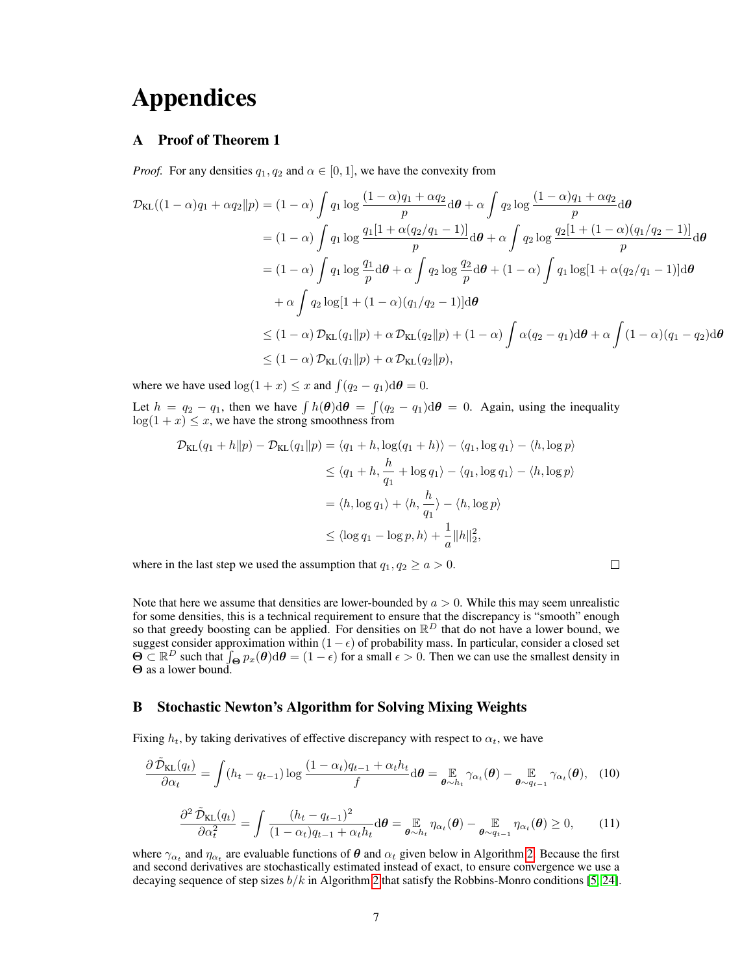# Appendices

### <span id="page-6-0"></span>A Proof of Theorem 1

*Proof.* For any densities  $q_1, q_2$  and  $\alpha \in [0, 1]$ , we have the convexity from

$$
\mathcal{D}_{\text{KL}}((1-\alpha)q_1 + \alpha q_2 \| p) = (1-\alpha) \int q_1 \log \frac{(1-\alpha)q_1 + \alpha q_2}{p} d\theta + \alpha \int q_2 \log \frac{(1-\alpha)q_1 + \alpha q_2}{p} d\theta
$$
  
\n
$$
= (1-\alpha) \int q_1 \log \frac{q_1[1+\alpha(q_2/q_1-1)]}{p} d\theta + \alpha \int q_2 \log \frac{q_2[1+(1-\alpha)(q_1/q_2-1)]}{p} d\theta
$$
  
\n
$$
= (1-\alpha) \int q_1 \log \frac{q_1}{p} d\theta + \alpha \int q_2 \log \frac{q_2}{p} d\theta + (1-\alpha) \int q_1 \log[1+\alpha(q_2/q_1-1)] d\theta
$$
  
\n
$$
+ \alpha \int q_2 \log[1+(1-\alpha)(q_1/q_2-1)] d\theta
$$
  
\n
$$
\leq (1-\alpha) \mathcal{D}_{\text{KL}}(q_1 \| p) + \alpha \mathcal{D}_{\text{KL}}(q_2 \| p) + (1-\alpha) \int \alpha(q_2-q_1) d\theta + \alpha \int (1-\alpha)(q_1-q_2) d\theta
$$
  
\n
$$
\leq (1-\alpha) \mathcal{D}_{\text{KL}}(q_1 \| p) + \alpha \mathcal{D}_{\text{KL}}(q_2 \| p),
$$

 $\Box$ 

where we have used  $\log(1+x) \leq x$  and  $\int (q_2 - q_1) d\theta = 0$ .

Let  $h = q_2 - q_1$ , then we have  $\int h(\theta) d\theta = \int (q_2 - q_1) d\theta = 0$ . Again, using the inequality  $log(1 + x) \leq x$ , we have the strong smoothness from

$$
\mathcal{D}_{\text{KL}}(q_1 + h \| p) - \mathcal{D}_{\text{KL}}(q_1 \| p) = \langle q_1 + h, \log(q_1 + h) \rangle - \langle q_1, \log q_1 \rangle - \langle h, \log p \rangle
$$
  
\n
$$
\leq \langle q_1 + h, \frac{h}{q_1} + \log q_1 \rangle - \langle q_1, \log q_1 \rangle - \langle h, \log p \rangle
$$
  
\n
$$
= \langle h, \log q_1 \rangle + \langle h, \frac{h}{q_1} \rangle - \langle h, \log p \rangle
$$
  
\n
$$
\leq \langle \log q_1 - \log p, h \rangle + \frac{1}{a} ||h||_2^2,
$$

where in the last step we used the assumption that  $q_1, q_2 \ge a > 0$ .

Note that here we assume that densities are lower-bounded by  $a > 0$ . While this may seem unrealistic for some densities, this is a technical requirement to ensure that the discrepancy is "smooth" enough so that greedy boosting can be applied. For densities on  $\mathbb{R}^D$  that do not have a lower bound, we suggest consider approximation within  $(1-\epsilon)$  of probability mass. In particular, consider a closed set  $\Theta \subset \mathbb{R}^D$  such that  $\int_{\Theta} p_x(\theta) d\theta = (1 - \epsilon)$  for a small  $\epsilon > 0$ . Then we can use the smallest density in Θ as a lower bound.

#### <span id="page-6-2"></span>B Stochastic Newton's Algorithm for Solving Mixing Weights

Fixing  $h_t$ , by taking derivatives of effective discrepancy with respect to  $\alpha_t$ , we have

<span id="page-6-1"></span>
$$
\frac{\partial \tilde{\mathcal{D}}_{\text{KL}}(q_t)}{\partial \alpha_t} = \int (h_t - q_{t-1}) \log \frac{(1 - \alpha_t) q_{t-1} + \alpha_t h_t}{f} d\theta = \underset{\boldsymbol{\theta} \sim h_t}{\mathbb{E}} \gamma_{\alpha_t}(\boldsymbol{\theta}) - \underset{\boldsymbol{\theta} \sim q_{t-1}}{\mathbb{E}} \gamma_{\alpha_t}(\boldsymbol{\theta}), \quad (10)
$$

$$
\frac{\partial^2 \tilde{\mathcal{D}}_{KL}(q_t)}{\partial \alpha_t^2} = \int \frac{(h_t - q_{t-1})^2}{(1 - \alpha_t)q_{t-1} + \alpha_t h_t} d\boldsymbol{\theta} = \mathbb{E}_{\boldsymbol{\theta} \sim h_t} \eta_{\alpha_t}(\boldsymbol{\theta}) - \mathbb{E}_{\boldsymbol{\theta} \sim q_{t-1}} \eta_{\alpha_t}(\boldsymbol{\theta}) \ge 0, \qquad (11)
$$

where  $\gamma_{\alpha_t}$  and  $\eta_{\alpha_t}$  are evaluable functions of  $\theta$  and  $\alpha_t$  given below in Algorithm [2.](#page-7-1) Because the first and second derivatives are stochastically estimated instead of exact, to ensure convergence we use a decaying sequence of step sizes  $b/k$  in Algorithm [2](#page-7-1) that satisfy the Robbins-Monro conditions [\[5,](#page-4-18) [24\]](#page-5-5).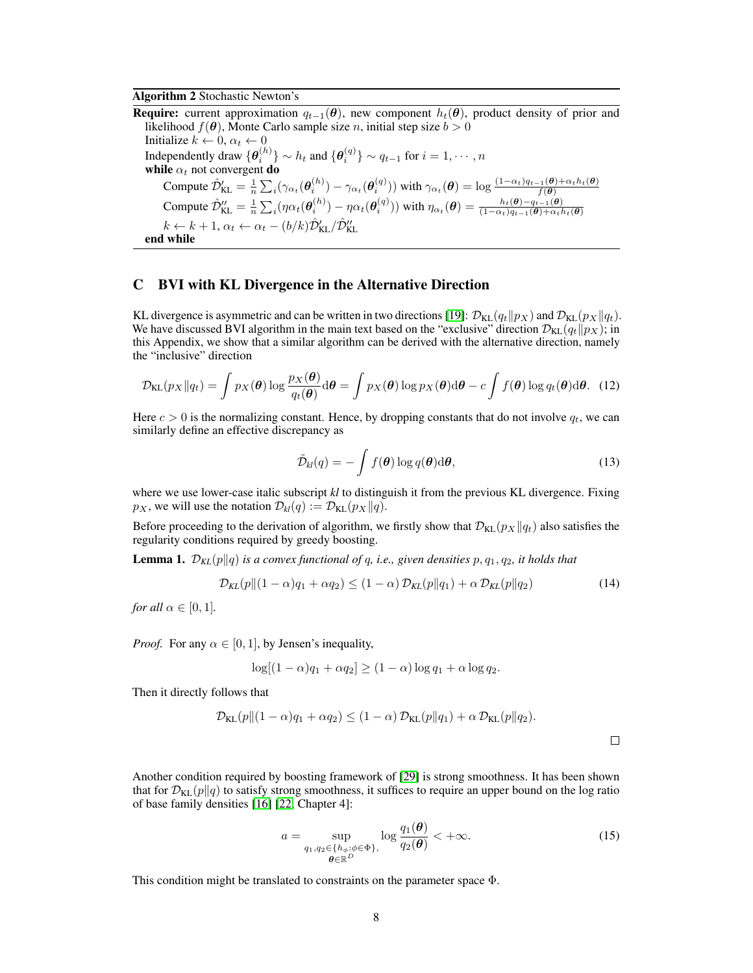#### Algorithm 2 Stochastic Newton's

<span id="page-7-1"></span>**Require:** current approximation  $q_{t-1}(\theta)$ , new component  $h_t(\theta)$ , product density of prior and likelihood  $f(\theta)$ , Monte Carlo sample size n, initial step size  $b > 0$ Initialize  $k \leftarrow 0$ ,  $\alpha_t \leftarrow 0$ Independently draw  $\{\theta_i^{(h)}\} \sim h_t$  and  $\{\theta_i^{(q)}\} \sim q_{t-1}$  for  $i = 1, \cdots, n$ while  $\alpha_t$  not convergent do Compute  $\hat{\mathcal{D}}'_{\text{KL}} = \frac{1}{n} \sum_{i} (\gamma_{\alpha_t}(\theta_i^{(h)}) - \gamma_{\alpha_t}(\theta_i^{(q)}))$  with  $\gamma_{\alpha_t}(\theta) = \log \frac{(1-\alpha_t)q_{t-1}(\theta) + \alpha_t h_t(\theta)}{f(\theta)}$ Compute  $\hat{\mathcal{D}}''_{\text{KL}} = \frac{1}{n} \sum_i (\eta \alpha_t(\boldsymbol{\theta}_i^{(h)}) - \eta \alpha_t(\boldsymbol{\theta}_i^{(q)}))$  with  $\eta_{\alpha_t}(\boldsymbol{\theta}) = \frac{h_t(\boldsymbol{\theta}) - q_{t-1}(\boldsymbol{\theta})}{(1 - \alpha_t)q_{t-1}(\boldsymbol{\theta}) + \alpha_t h_t(\boldsymbol{\theta})}$  $k \leftarrow k + 1, \alpha_t \leftarrow \alpha_t - (b/k) \hat{\mathcal{D}}'_{\text{KL}} / \hat{\mathcal{D}}''_{\text{KL}}$ end while

#### <span id="page-7-0"></span>C BVI with KL Divergence in the Alternative Direction

KL divergence is asymmetric and can be written in two directions [\[19\]](#page-4-22):  $\mathcal{D}_{KL}(q_t||p_X)$  and  $\mathcal{D}_{KL}(p_X||q_t)$ . We have discussed BVI algorithm in the main text based on the "exclusive" direction  $\mathcal{D}_{KL}(q_t||p_X)$ ; in this Appendix, we show that a similar algorithm can be derived with the alternative direction, namely the "inclusive" direction

$$
\mathcal{D}_{\text{KL}}(p_X \| q_t) = \int p_X(\boldsymbol{\theta}) \log \frac{p_X(\boldsymbol{\theta})}{q_t(\boldsymbol{\theta})} d\boldsymbol{\theta} = \int p_X(\boldsymbol{\theta}) \log p_X(\boldsymbol{\theta}) d\boldsymbol{\theta} - c \int f(\boldsymbol{\theta}) \log q_t(\boldsymbol{\theta}) d\boldsymbol{\theta}.
$$
 (12)

Here  $c > 0$  is the normalizing constant. Hence, by dropping constants that do not involve  $q_t$ , we can similarly define an effective discrepancy as

$$
\tilde{\mathcal{D}}_{kl}(q) = -\int f(\boldsymbol{\theta}) \log q(\boldsymbol{\theta}) d\boldsymbol{\theta}, \qquad (13)
$$

where we use lower-case italic subscript *kl* to distinguish it from the previous KL divergence. Fixing  $p_X$ , we will use the notation  $\mathcal{D}_{kl}(q) := \mathcal{D}_{KL}(p_X||q)$ .

Before proceeding to the derivation of algorithm, we firstly show that  $\mathcal{D}_{KL}(p_X||q_t)$  also satisfies the regularity conditions required by greedy boosting.

**Lemma 1.**  $\mathcal{D}_{KL}(p||q)$  *is a convex functional of q, i.e., given densities*  $p, q_1, q_2$ *, it holds that* 

$$
\mathcal{D}_{KL}(p||(1-\alpha)q_1 + \alpha q_2) \le (1-\alpha)\mathcal{D}_{KL}(p||q_1) + \alpha \mathcal{D}_{KL}(p||q_2)
$$
\n(14)

*for all*  $\alpha \in [0, 1]$ *.* 

*Proof.* For any  $\alpha \in [0, 1]$ , by Jensen's inequality,

$$
\log[(1-\alpha)q_1 + \alpha q_2] \ge (1-\alpha)\log q_1 + \alpha \log q_2.
$$

Then it directly follows that

$$
\mathcal{D}_{\text{KL}}(p||(1-\alpha)q_1 + \alpha q_2) \le (1-\alpha)\mathcal{D}_{\text{KL}}(p||q_1) + \alpha \mathcal{D}_{\text{KL}}(p||q_2).
$$

Another condition required by boosting framework of [\[29\]](#page-5-3) is strong smoothness. It has been shown that for  $\mathcal{D}_{KL}(p||q)$  to satisfy strong smoothness, it suffices to require an upper bound on the log ratio of base family densities [\[16\]](#page-4-16) [\[22,](#page-4-12) Chapter 4]:

$$
a = \sup_{\substack{q_1, q_2 \in \{h_\phi : \phi \in \Phi\}, \\ \theta \in \mathbb{R}^D}} \log \frac{q_1(\theta)}{q_2(\theta)} < +\infty.
$$
 (15)

This condition might be translated to constraints on the parameter space Φ.